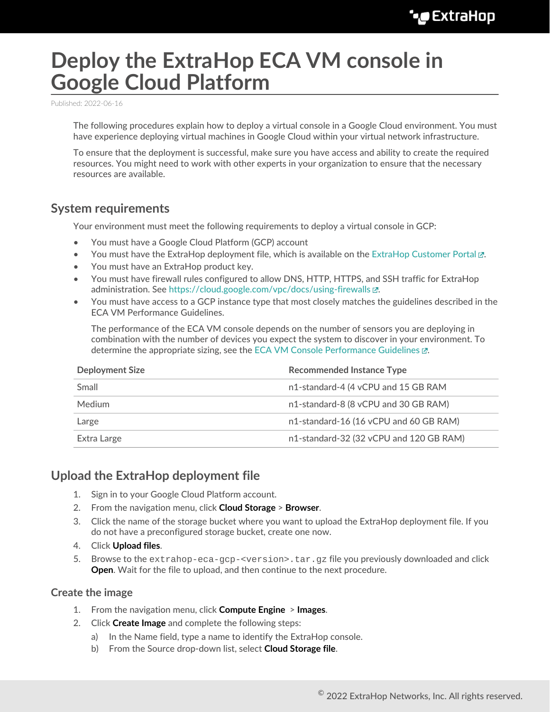# **Deploy the ExtraHop ECA VM console in Google Cloud Platform**

Published: 2022-06-16

The following procedures explain how to deploy a virtual console in a Google Cloud environment. You must have experience deploying virtual machines in Google Cloud within your virtual network infrastructure.

To ensure that the deployment is successful, make sure you have access and ability to create the required resources. You might need to work with other experts in your organization to ensure that the necessary resources are available.

## <span id="page-0-0"></span>**System requirements**

Your environment must meet the following requirements to deploy a virtual console in GCP:

- You must have a Google Cloud Platform (GCP) account
- You must have the ExtraHop deployment file, which is available on the [ExtraHop Customer Portal](https://customers.extrahop.com/downloads/virtual-appliances/)  $\mathbb{Z}$ .
- You must have an ExtraHop product key.
- You must have firewall rules configured to allow DNS, HTTP, HTTPS, and SSH traffic for ExtraHop administration. See<https://cloud.google.com/vpc/docs/using-firewalls>...
- You must have access to a GCP instance type that most closely matches the guidelines described in the ECA VM Performance Guidelines.

The performance of the ECA VM console depends on the number of sensors you are deploying in combination with the number of devices you expect the system to discover in your environment. To determine the appropriate sizing, see the [ECA VM Console Performance Guidelines](https://docs.extrahop.com/8.9/customers/eca-guidelines) ...

| <b>Deployment Size</b> | <b>Recommended Instance Type</b>        |  |  |
|------------------------|-----------------------------------------|--|--|
| Small                  | n1-standard-4 (4 vCPU and 15 GB RAM     |  |  |
| <b>Medium</b>          | n1-standard-8 (8 vCPU and 30 GB RAM)    |  |  |
| Large                  | n1-standard-16 (16 vCPU and 60 GB RAM)  |  |  |
| Extra Large            | n1-standard-32 (32 vCPU and 120 GB RAM) |  |  |

## **Upload the ExtraHop deployment file**

- 1. Sign in to your Google Cloud Platform account.
- 2. From the navigation menu, click **Cloud Storage** > **Browser**.
- 3. Click the name of the storage bucket where you want to upload the ExtraHop deployment file. If you do not have a preconfigured storage bucket, create one now.
- 4. Click **Upload files**.
- 5. Browse to the extrahop-eca-gcp-<version>.tar.gz file you previously downloaded and click **Open**. Wait for the file to upload, and then continue to the next procedure.

#### **Create the image**

- 1. From the navigation menu, click **Compute Engine** > **Images**.
- 2. Click **Create Image** and complete the following steps:
	- a) In the Name field, type a name to identify the ExtraHop console.
	- b) From the Source drop-down list, select **Cloud Storage file**.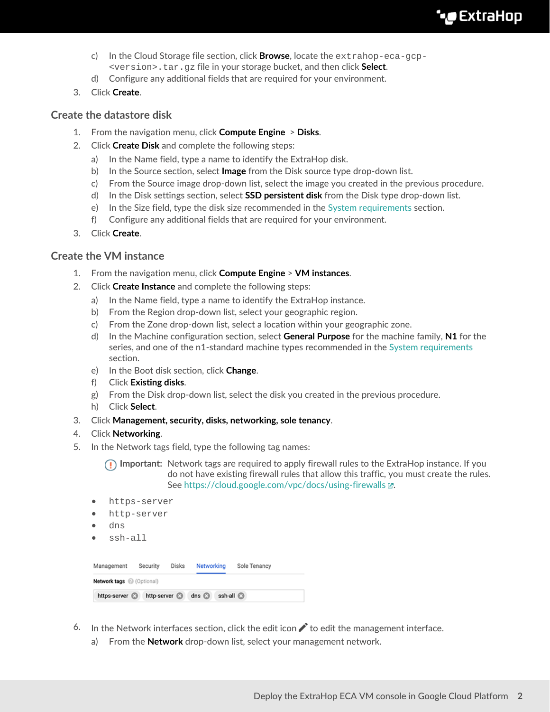- c) In the Cloud Storage file section, click **Browse**, locate the extrahop-eca-gcp- <version>.tar.gz file in your storage bucket, and then click **Select**.
- d) Configure any additional fields that are required for your environment.
- 3. Click **Create**.

### **Create the datastore disk**

- 1. From the navigation menu, click **Compute Engine** > **Disks**.
- 2. Click **Create Disk** and complete the following steps:
	- a) In the Name field, type a name to identify the ExtraHop disk.
	- b) In the Source section, select **Image** from the Disk source type drop-down list.
	- c) From the Source image drop-down list, select the image you created in the previous procedure.
	- d) In the Disk settings section, select **SSD persistent disk** from the Disk type drop-down list.
	- e) In the Size field, type the disk size recommended in the [System requirements](#page-0-0) section.
	- f) Configure any additional fields that are required for your environment.
- 3. Click **Create**.

#### **Create the VM instance**

- 1. From the navigation menu, click **Compute Engine** > **VM instances**.
- 2. Click **Create Instance** and complete the following steps:
	- a) In the Name field, type a name to identify the ExtraHop instance.
	- b) From the Region drop-down list, select your geographic region.
	- c) From the Zone drop-down list, select a location within your geographic zone.
	- d) In the Machine configuration section, select **General Purpose** for the machine family, **N1** for the series, and one of the n1-standard machine types recommended in the [System requirements](#page-0-0) section.
	- e) In the Boot disk section, click **Change**.
	- f) Click **Existing disks**.
	- g) From the Disk drop-down list, select the disk you created in the previous procedure.
	- h) Click **Select**.
- 3. Click **Management, security, disks, networking, sole tenancy**.
- 4. Click **Networking**.
- 5. In the Network tags field, type the following tag names:

**Important:** Network tags are required to apply firewall rules to the ExtraHop instance. If you do not have existing firewall rules that allow this traffic, you must create the rules. See<https://cloud.google.com/vpc/docs/using-firewalls>...

- https-server
- http-server
- dns
- ssh-all

| Management                | Security             | Disks | Networking  |           | Sole Tenancy |  |
|---------------------------|----------------------|-------|-------------|-----------|--------------|--|
| Network tags @ (Optional) |                      |       |             |           |              |  |
| https-server              | http-server <b>a</b> |       | dns $\odot$ | ssh-all a |              |  |

- 6. In the Network interfaces section, click the edit icon  $\bullet$  to edit the management interface.
	- a) From the **Network** drop-down list, select your management network.